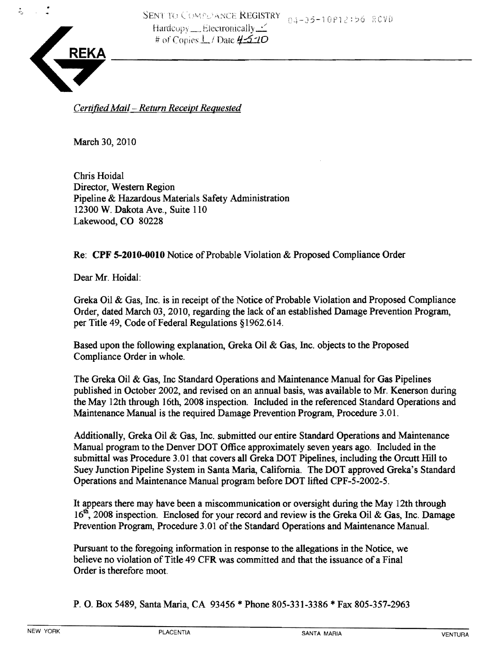

ż,

*CertifiedMail- Return Receipt Requested* 

March 30, 2010

Chris Hoidal Director, Western Region Pipeline & Hazardous Materials Safety Administration 12300 W. Dakota Ave., Suite 110 Lakewood, CO 80228

Re: CPF 5-2010-0010 Notice of Probable Violation & Proposed Compliance Order

Dear Mr. Hoidal:

Greka Oil & Gas, Inc. is in receipt of the Notice of Probable Violation and Proposed Compliance Order, dated March 03, 2010, regarding the lack of an established Damage Prevention Program, per Title 49, Code of Federal Regulations §1962.614.

Based upon the following explanation, Greka Oil & Gas, Inc. objects to the Proposed Compliance Order in whole.

The Greka Oil & Gas, Inc Standard Operations and Maintenance Manual for Gas Pipelines published in October 2002, and revised on an annual basis, was available to Mr. Kenerson during the May 12th through 16th, 2008 inspection. Included in the referenced Standard Operations and Maintenance Manual is the required Damage Prevention Program, Procedure 3.01.

Additionally, Greka Oil & Gas, Inc. submitted our entire Standard Operations and Maintenance Manual program to the Denver DOT Office approximately seven years ago. Included in the submittal was Procedure 3.01 that covers all Greka DOT Pipelines, including the Orcutt Hill to Suey Junction Pipeline System in Santa Maria, California. The DOT approved Greka's Standard Operations and Maintenance Manual program before DOT lifted CPF-5-2002-5.

It appears there may have been a miscommunication or oversight during the May 12th through  $16<sup>th</sup>$ , 2008 inspection. Enclosed for your record and review is the Greka Oil & Gas, Inc. Damage Prevention Program, Procedure 3.01 of the Standard Operations and Maintenance Manual.

Pursuant to the foregoing information in response to the allegations in the Notice, we believe no violation of Title 49 CFR was committed and that the issuance of a Final Order is therefore moot.

P. O. Box 5489, Santa Maria, CA 93456 \* Phone 805-331-3386 \*Fax 805-357-2963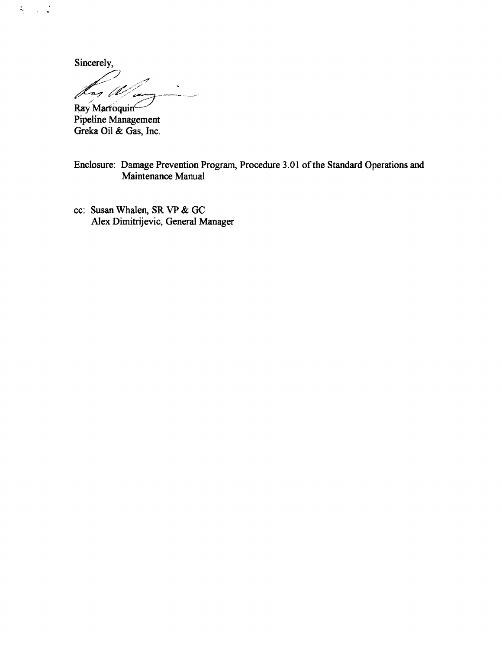Sincerely,

 $\frac{1}{\sqrt{2}}$  ,  $\frac{1}{\sqrt{2}}$  ,  $\frac{1}{\sqrt{2}}$ 

 $\bar{\mathbf{v}}$ Þ -og [ll

Ray Marroquin<br>Pipeline Management<br>Greka Oil & Gas, Inc.

Enclosure: Damage Prevention Program, Procedure 3.01 of the Standard Operations and Maintenance Manual

cc: Susan Whalen, SR VP & GC Alex Dimitrijevic, General Manager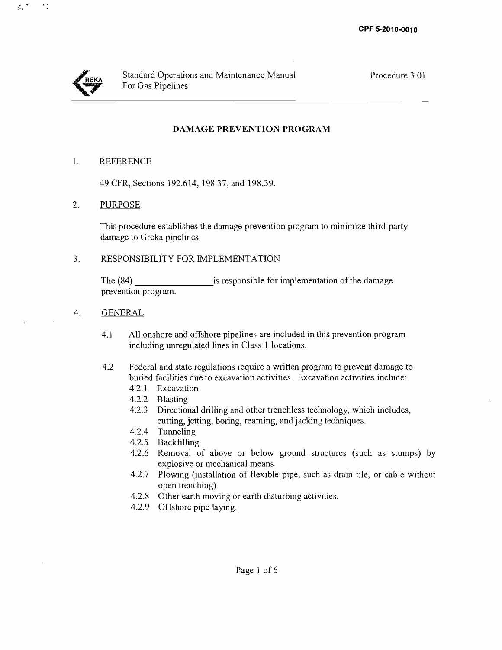

 $\lesssim$   $^{\star}$ 

ng.

## **DAMAGE PREVENTION PROGRAM**

#### 1. REFERENCE

49 CFR, Sections 192.614,198.37, and 198.39.

#### 2. PURPOSE

This procedure establishes the damage prevention program to minimize third-party damage to Greka pipelines.

#### 3. RESPONSIBILITY FOR IMPLEMENTATION

The (84) is responsible for implementation of the damage prevention program.

#### 4. GENERAL

- 4.1 All onshore and offshore pipelines are included in this prevention program including unregulated lines in Class 1 locations.
- 4.2 Federal and state regulations require a written program to prevent damage to buried facilities due to excavation activities. Excavation activities include:
	- 4.2.1 Excavation
	- 4.2.2 Blasting
	- 4.2.3 Directional drilling and other trenchless technology, which includes, cutting, jetting, boring, reaming, and jacking techniques.
	- 4.2.4 Tunneling
	- 4.2.5 Backfilling
	- 4.2.6 Removal of above or below ground structures (such as stumps) by explosive or mechanical means.
	- 4.2.7 Plowing (installation of flexible pipe, such as drain tile, or cable without open trenching).
	- 4.2.8 Other earth moving or earth disturbing activities.
	- 4.2.9 Offshore pipe laying.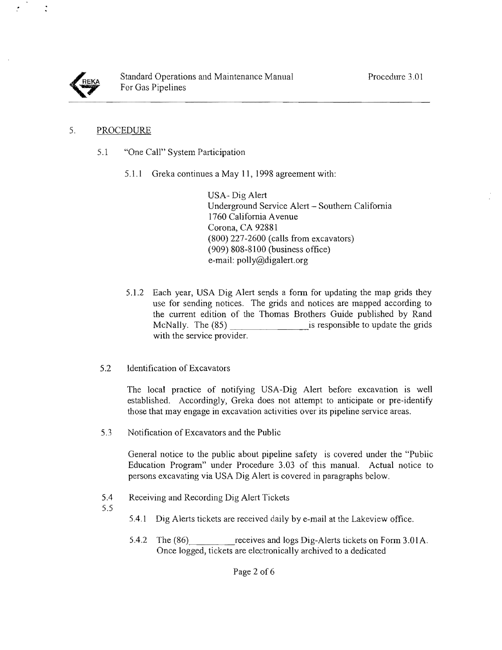

### 5. PROCEDURE

- 5.1 "One Call" System Participation
	- 5.1.1 Greka continues a May II, 1998 agreement with:

USA- Dig Alert Underground Service Alert - Southern California 1760 California Avenue Corona, CA 92881 (800) 227-2600 (calls from excavators) (909) 808-8100 (business office) e-mail: polly@digalert.org

- 5.1.2 Each year, USA Dig Alert sends a form for updating the map grids they use for sending notices. The grids and notices are mapped according to the current edition of the Thomas Brothers Guide published by Rand McNally. The (85) is responsible to update the grids with the service provider.
- 5.2 Identification of Excavators

The local practice of notifying USA-Dig Alert before excavation is well established. Accordingly, Greka does not attempt to anticipate or pre-identify those that may engage in excavation activities over its pipeline service areas.

5.3 Notification of Excavators and the Public

General notice to the public about pipeline safety is covered under the "Public Education Program" under Procedure 3.03 of this manual. Actual notice to persons excavating via USA Dig Alert is covered in paragraphs below.

- 5.4 Receiving and Recording Dig Alert Tickets
- 5.5
- 5.4.1 Dig Alerts tickets are received daily by e-mail at the Lakeview office.
- 5.4.2 The (86) receives and logs Dig-Alerts tickets on Form 3.01A. Once logged, tickets are electronically archived to a dedicated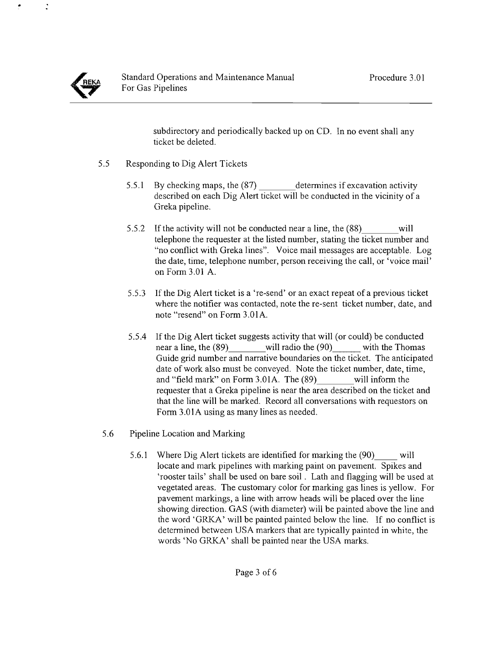$\ddot{\cdot}$ 

subdirectory and periodically backed up on CD. In no event shall any ticket be deleted.

- 5.5 Responding to Dig Alert Tickets
	- 5.5.1 By checking maps, the (87) determines if excavation activity described on each Dig Alert ticket will be conducted in the vicinity of a Greka pipeline.
	- 5.5.2 If the activity will not be conducted near a line, the (88) will telephone the requester at the listed number, stating the ticket number and "no conflict with Greka lines". Voice mail messages are acceptable. Log the date, time, telephone number, person receiving the call, or 'voice mail' on Form 3.01 A.
	- 5.5.3 If the Dig Alert ticket is a 're-send' or an exact repeat of a previous ticket where the notifier was contacted, note the re-sent ticket number, date, and note "resend" on Form 3.01A.
	- 5.5.4 lfthe Dig Alert ticket suggests activity that will (or could) be conducted near a line, the (89) will radio the (90) with the Thomas Guide grid number and narrative boundaries on the ticket. The anticipated date of work also must be conveyed. Note the ticket number, date, time, and "field mark" on Form 3.01A. The (89) will inform the requester that a Greka pipeline is near the area described on the ticket and that the line will be marked. Record all conversations with requestors on Form 3.01A using as many lines as needed.
- 5.6 Pipeline Location and Marking
	- 5.6.1 Where Dig Alert tickets are identified for marking the (90) will locate and mark pipelines with marking paint on pavement. Spikes and 'rooster tails' shall be used on bare soil. Lath and flagging will be used at vegetated areas. The customary color for marking gas lines is yellow. For pavement markings, a line with arrow heads will be placed over the line showing direction. GAS (with diameter) will be painted above the line and the word 'GRKA' will be painted painted below the line. If no conflict is determined between USA markers that are typically painted in white, the words 'No GRKA' shall be painted near the USA marks.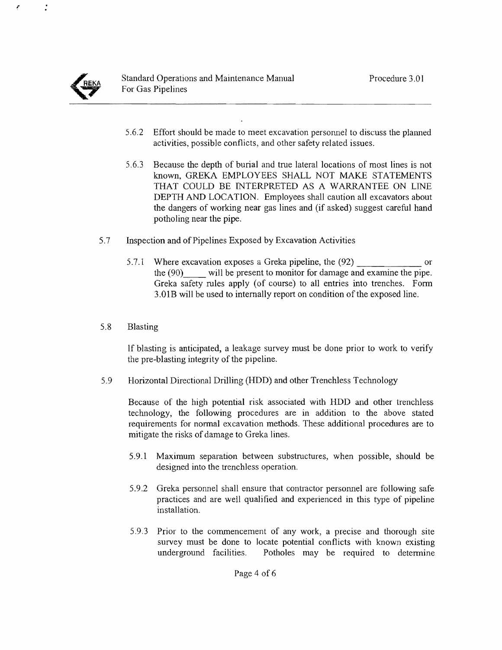

 $\cdot$ 

- 5.6.2 Effort should be made to meet excavation personnel to discuss the planned activities, possible conflicts, and other safety related issues.
- 5.6.3 Because the depth of burial and true lateral locations of most lines is not known, GREKA EMPLOYEES SHALL NOT MAKE STATEMENTS THAT COULD BE INTERPRETED AS A WARRANTEE ON LINE DEPTH AND LOCATION. Employees shall caution all excavators about the dangers of working near gas lines and (if asked) suggest careful hand potholing near the pipe.
- 5.7 Inspection and of Pipelines Exposed by Excavation Activities
	- 5.7.1 Where excavation exposes a Greka pipeline, the (92) or the  $(90)$  will be present to monitor for damage and examine the pipe. Greka safety rules apply (of course) to all entries into trenches. Form 3.01B will be used to internally report on condition of the exposed line.
- 5.8 Blasting

If blasting is anticipated, a leakage survey must be done prior to work to verify the pre-blasting integrity of the pipeline.

5.9 Horizontal Directional Drilling (HDD) and other Trenchless Technology

Because of the high potential risk associated with HDD and other trenchless technology, the following procedures are in addition to the above stated requirements for normal excavation methods. These additional procedures are to mitigate the risks of damage to Greka lines.

- 5.9.1 Maximum separation between substructures, when possible, should be designed into the trenchless operation.
- 5.9.2 Greka personnel shall ensure that contractor personnel are following safe practices and are well qualified and experienced in this type of pipeline installation.
- 5.9.3 Prior to the commencement of any work, a precise and thorough site survey must be done to locate potential conflicts with known existing underground facilities. Potholes may be required to determine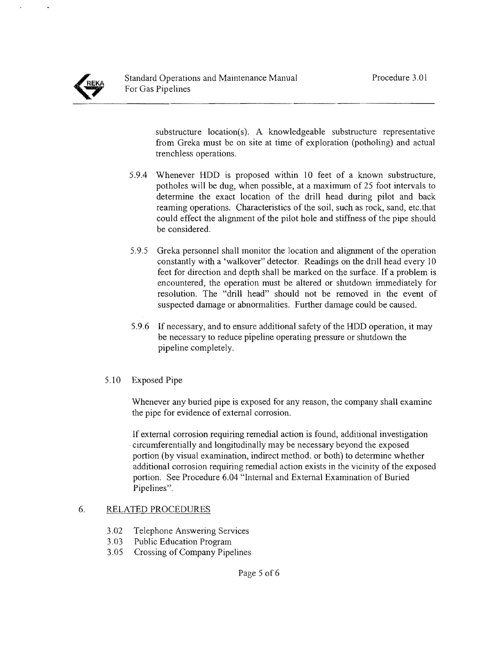substructure location(s). A knowledgeable substructure representative from Greka must be on site at time of exploration (potholing) and actual trenchless operations.

- 5.9.4 Whenever HDD is proposed within 10 feet of a known substructure, potholes will be dug, when possible, at a maximum of 25 foot intervals to determine the exact location of the drill head during pilot and back reaming operations. Characteristics of the soil, such as rock, sand, etc.that could effect the alignment of the pilot hole and stiffness of the pipe should be considered.
- 5.9.5 Greka personnel shall monitor the location and alignment of the operation constantly with a 'walkover" detector. Readings on the drill head every 10 feet for direction and depth shall be marked on the surface. If a problem is encountered, the operation must be altered or shutdown immediately for resolution. The "drill head" should not be removed in the event of suspected damage or abnormalities. Further damage could be caused.
- 5.9.6 If necessary, and to ensure additional safety of the HDD operation, **it** may be necessary to reduce pipeline operating pressure or shutdown the pipeline completely.
- 5.10 Exposed Pipe

Whenever any buried pipe is exposed for any reason, the company shall examine the pipe for evidence of external corrosion.

If external corrosion requiring remedial action is found, additional investigation circumferentially and longitudinally may be necessary beyond the exposed portion (by visual examination, indirect method. or both) to determine whether additional corrosion requiring remedial action exists in the vicinity of the exposed portion. See Procedure 6.04 "Internal and External Examination of Buried Pipelines".

# 6. RELATED PROCEDURES

- 3.02 Telephone Answering Services
- 3.03 Public Education Program
- 3.05 Crossing of Company Pipelines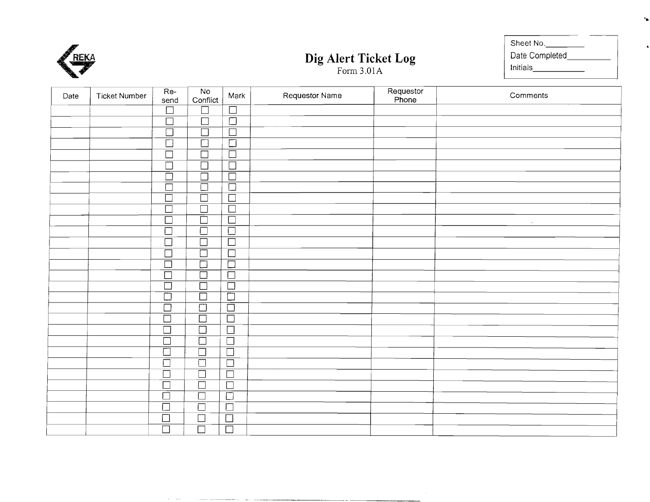

|                      | Sheet No.      |
|----------------------|----------------|
| Dig Alert Ticket Log | Date Completed |
| Form $3.01A$         | Initials       |

**'.** 

| Date | <b>Ticket Number</b> | Re-<br>send          | No<br>Conflict       | Mark                      | Requestor Name | Requestor<br>Phone | Comments            |
|------|----------------------|----------------------|----------------------|---------------------------|----------------|--------------------|---------------------|
|      |                      | $\Box$               | $\Box$               | $\Box$                    |                |                    |                     |
|      |                      | $\Box$               | $\Box$               | $\overline{\square}$      |                |                    |                     |
|      |                      | $\overline{\Box}$    | $\overline{\Box}$    | $\overline{\Box}$         |                |                    |                     |
|      |                      | $\overline{\Box}$    | $\overline{\Box}$    | $\overline{\Box}$         |                |                    |                     |
|      |                      | $\overline{\Box}$    | $\Box$               | $\Box$                    |                |                    |                     |
|      |                      | $\Box$               | $\overline{\Box}$    | $\Box$                    |                |                    |                     |
|      |                      | $\overline{\Xi}$     | $\overline{\Box}$    | $\overline{\Box}$         |                |                    |                     |
|      |                      |                      |                      | $\overline{\Box}$         |                |                    |                     |
|      |                      | $\overline{\Box}$    | $\overline{\Box}$    | $\overline{\Box}$         |                |                    |                     |
|      |                      | $\overline{\Box}$    | $\overline{\square}$ | $\Box$                    |                |                    |                     |
|      |                      | $\overline{\Box}$    | $\overline{\Box}$    | $\Box$                    |                |                    | $\mathcal{A}^{\pm}$ |
|      |                      | $\overline{\Box}$    | $\Box$               | $\Box$                    |                |                    |                     |
|      |                      | $\overline{\Box}$    | $\overline{\Box}$    | $\Box$                    |                |                    |                     |
|      |                      | $\overline{\Box}$    | $\overline{\Box}$    | $\Box$                    |                |                    |                     |
|      |                      | $\overline{\Box}$    | $\overline{\Box}$    | $\frac{\square}{\square}$ |                |                    |                     |
|      |                      | $\overline{\Box}$    | $\overline{\Box}$    |                           |                |                    |                     |
|      |                      | $\overline{\Box}$    | $\overline{\Box}$    | $\Box$                    |                |                    |                     |
|      |                      | $\overline{\Box}$    | $\overline{\Box}$    | $\overline{\Box}$         |                |                    |                     |
|      |                      | $\overline{\square}$ | $\overline{\square}$ | $\overline{\Box}$         |                |                    |                     |
|      |                      | $\overline{\Box}$    | $\overline{\Box}$    | $\Box$                    |                |                    |                     |
|      |                      | $\overline{\Box}$    | $\overline{\Box}$    | $\Box$                    |                |                    |                     |
|      |                      | $\overline{\Box}$    | $\overline{\Box}$    | $\Box$                    |                |                    |                     |
|      |                      | $\overline{\Box}$    | $\overline{\Box}$    | $\overline{\Box}$         |                |                    |                     |
|      |                      | $\bar{\Box}$         | $\overline{\Box}$    | $\overline{\Box}$         |                |                    |                     |
|      |                      | $\overline{\Box}$    | $\Box$               | $\overline{\Box}$         |                |                    |                     |
|      |                      | $\overline{\Box}$    | $\overline{\Box}$    | $\overline{\Box}$         |                |                    |                     |
|      |                      | $\overline{\Box}$    | $\overline{\Box}$    | $\overline{\Box}$         |                |                    |                     |
|      |                      | $\Box$               | $\overline{\Box}$    | $\Box$                    |                |                    |                     |
|      |                      | $\Box$               | $\overline{\Box}$    | $\overline{\Box}$         |                |                    |                     |
|      |                      | $\overline{\Box}$    | $\overline{\Box}$    | $\overline{\Box}$         |                |                    |                     |